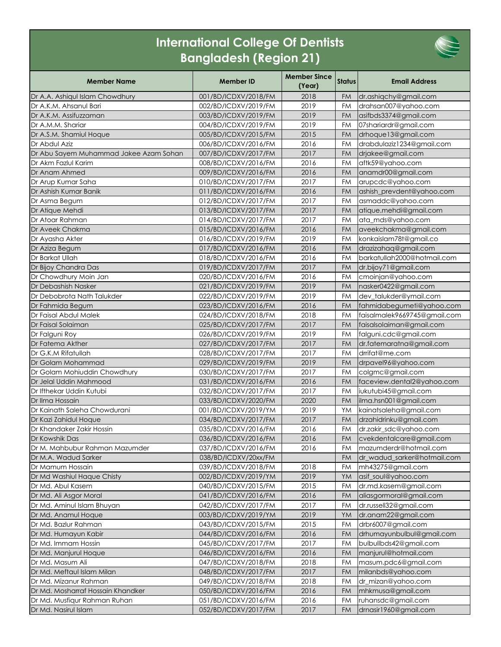## **International College Of Dentists Bangladesh (Region 21)**



| <b>Member Name</b>                     | <b>Member ID</b>     | <b>Member Since</b><br>(Year) | <b>Status</b> | <b>Email Address</b>         |
|----------------------------------------|----------------------|-------------------------------|---------------|------------------------------|
| Dr A.A. Ashiqul Islam Chowdhury        | 001/BD/ICDXV/2018/FM | 2018                          | <b>FM</b>     | dr.ashiqchy@gmail.com        |
| Dr A.K.M. Ahsanul Bari                 | 002/BD/ICDXV/2019/FM | 2019                          | <b>FM</b>     | drahsan007@yahoo.com         |
| Dr A.K.M. Assifuzzaman                 | 003/BD/ICDXV/2019/FM | 2019                          | <b>FM</b>     | asifbds3374@gmail.com        |
| Dr A.M.M. Shariar                      | 004/BD/ICDXV/2019/FM | 2019                          | FM            | 07shariardr@gmail.com        |
| Dr A.S.M. Shamiul Hoque                | 005/BD/ICDXV/2015/FM | 2015                          | <b>FM</b>     | drhoque13@gmail.com          |
| Dr Abdul Aziz                          | 006/BD/ICDXV/2016/FM | 2016                          | FM            | drabdulaziz1234@gmail.com    |
| Dr Abu Sayem Muhammad Jakee Azam Sohan | 007/BD/ICDXV/2017/FM | 2017                          | <b>FM</b>     | drjakee@gmail.com            |
| Dr Akm Fazlul Karim                    | 008/BD/ICDXV/2016/FM | 2016                          | FM            | aftk59@yahoo.com             |
| Dr Anam Ahmed                          | 009/BD/ICDXV/2016/FM | 2016                          | <b>FM</b>     | anamdr00@gmail.com           |
| Dr Arup Kumar Saha                     | 010/BD/ICDXV/2017/FM | 2017                          | <b>FM</b>     | arupcdc@yahoo.com            |
| Dr Ashish Kumar Banik                  | 011/BD/ICDXV/2016/FM | 2016                          | <b>FM</b>     | ashish_prevdent@yahoo.com    |
| Dr Asma Begum                          | 012/BD/ICDXV/2017/FM | 2017                          | FM            | asmaddc@yahoo.com            |
| Dr Atique Mehdi                        | 013/BD/ICDXV/2017/FM | 2017                          | <b>FM</b>     | atique.mehdi@gmail.com       |
| Dr Atoar Rahman                        | 014/BD/ICDXV/2017/FM | 2017                          | <b>FM</b>     | ata_mds@yahoo.com            |
| Dr Aveek Chakma                        | 015/BD/ICDXV/2016/FM | 2016                          | <b>FM</b>     | aveekchakma@gmail.com        |
| Dr Ayasha Akter                        | 016/BD/ICDXV/2019/FM | 2019                          | <b>FM</b>     | konkaislam78t@gmail.co       |
| Dr Aziza Begum                         | 017/BD/ICDXV/2016/FM | 2016                          | <b>FM</b>     | drazizahaq@gmail.com         |
| Dr Barkat Ullah                        | 018/BD/ICDXV/2016/FM | 2016                          | <b>FM</b>     | barkatullah2000@hotmail.com  |
| Dr Bijoy Chandra Das                   | 019/BD/ICDXV/2017/FM | 2017                          | <b>FM</b>     | dr.bijoy71@gmail.com         |
| Dr Chowdhury Moin Jan                  | 020/BD/ICDXV/2016/FM | 2016                          | FM            | cmoinjan@yahoo.com           |
| Dr Debashish Nasker                    | 021/BD/ICDXV/2019/FM | 2019                          | FM            | nasker0422@gmail.com         |
| Dr Debobrota Nath Talukder             | 022/BD/ICDXV/2019/FM | 2019                          | FM            | dev_talukder@ymail.com       |
| Dr Fahmida Begum                       | 023/BD/ICDXV/2016/FM | 2016                          | <b>FM</b>     | fahmidabegumeti@yahoo.com    |
| Dr Faisal Abdul Malek                  | 024/BD/ICDXV/2018/FM | 2018                          | <b>FM</b>     | faisalmalek9669745@gmail.com |
| Dr Faisal Solaiman                     | 025/BD/ICDXV/2017/FM | 2017                          | <b>FM</b>     | faisalsolaiman@gmail.com     |
| Dr Falguni Roy                         | 026/BD/ICDXV/2019/FM | 2019                          | <b>FM</b>     | falguni.cdc@gmail.com        |
| Dr Fatema Akther                       | 027/BD/ICDXV/2017/FM | 2017                          | <b>FM</b>     | dr.fatemaratna@gmail.com     |
| Dr G.K.M Rifatullah                    | 028/BD/ICDXV/2017/FM | 2017                          | <b>FM</b>     | drrifat@me.com               |
| Dr Golam Mohammad                      | 029/BD/ICDXV/2019/FM | 2019                          | <b>FM</b>     | drpavel96@yahoo.com          |
| Dr Golam Mohiuddin Chowdhury           | 030/BD/ICDXV/2017/FM | 2017                          | <b>FM</b>     | colgmc@gmail.com             |
| Dr Jelal Uddin Mahmood                 | 031/BD/ICDXV/2016/FM | 2016                          | <b>FM</b>     | faceview.dental2@yahoo.com   |
| Dr Ifthekar Uddin Kutubi               | 032/BD/ICDXV/2017/FM | 2017                          | <b>FM</b>     | iukutubi45@gmail.com         |
| Dr Ilma Hossain                        | 033/BD/ICDXV/2020/FM | 2020                          | <b>FM</b>     | ilma.hsn001@gmail.com        |
| Dr Kainath Saleha Chowdurani           | 001/BD/ICDXV/2019/YM | 2019                          | YM            | kainatsaleha@gmail.com       |
| Dr Kazi Zahidul Hoque                  | 034/BD/ICDXV/2017/FM | 2017                          | <b>FM</b>     | drzahidrinku@gmail.com       |
| Dr Khandaker Zakir Hossin              | 035/BD/ICDXV/2016/FM | 2016                          | <b>FM</b>     | dr.zakir_sdc@yahoo.com       |
| Dr Kowshik Das                         | 036/BD/ICDXV/2016/FM | 2016                          |               | FM cvekdentalcare@gmail.com  |
| Dr M. Mahbubur Rahman Mazumder         | 037/BD/ICDXV/2016/FM | 2016                          | FM            | mazumderdr@hotmail.com       |
| Dr M.A. Wadud Sarker                   | 038/BD/ICDXV/20xx/FM |                               | <b>FM</b>     | dr_wadud_sarker@hotmail.com  |
| Dr Mamum Hossain                       | 039/BD/ICDXV/2018/FM | 2018                          | FM            | mh43275@gmail.com            |
| Dr Md Washiul Haque Chisty             | 002/BD/ICDXV/2019/YM | 2019                          | YM            | asif_soul@yahoo.com          |
| Dr Md. Abul Kasem                      | 040/BD/ICDXV/2015/FM | 2015                          | FM            | dr.md.kasem@gmail.com        |
| Dr Md. Ali Asgor Moral                 | 041/BD/ICDXV/2016/FM | 2016                          | <b>FM</b>     | aliasgormoral@gmail.com      |
| Dr Md. Aminul Islam Bhuyan             | 042/BD/ICDXV/2017/FM | 2017                          | <b>FM</b>     | dr.russell32@gmail.com       |
| Dr Md. Anamul Hoque                    | 003/BD/ICDXV/2019/YM | 2019                          | YM            | dr.anam22@gmail.com          |
| Dr Md. Bazlur Rahman                   | 043/BD/ICDXV/2015/FM | 2015                          | <b>FM</b>     | drbr6007@gmail.com           |
| Dr Md. Humayun Kabir                   | 044/BD/ICDXV/2016/FM | 2016                          | FM            | drhumayunbulbul@gmail.com    |
| Dr Md. Immam Hossin                    | 045/BD/ICDXV/2017/FM | 2017                          | <b>FM</b>     | bulbullbds42@gmail.com       |
| Dr Md. Manjurul Hoque                  | 046/BD/ICDXV/2016/FM | 2016                          | FM            | manjurul@hotmail.com         |
| Dr Md. Masum Ali                       | 047/BD/ICDXV/2018/FM | 2018                          | FM            | masum.pdc6@gmail.com         |
| Dr Md. Meftaul Islam Milan             | 048/BD/ICDXV/2017/FM | 2017                          | <b>FM</b>     | milanbds@yahoo.com           |
| Dr Md. Mizanur Rahman                  | 049/BD/ICDXV/2018/FM | 2018                          | FM            | dr_mizan@yahoo.com           |
| Dr Md. Mosharraf Hossain Khandker      | 050/BD/ICDXV/2016/FM | 2016                          | FM            | mhkmusa@gmail.com            |
| Dr Md. Musfiqur Rahman Ruhan           | 051/BD/ICDXV/2016/FM | 2016                          | FM            | ruhansdc@gmail.com           |
| Dr Md. Nasirul Islam                   | 052/BD/ICDXV/2017/FM | 2017                          | <b>FM</b>     | drnasir1960@gmail.com        |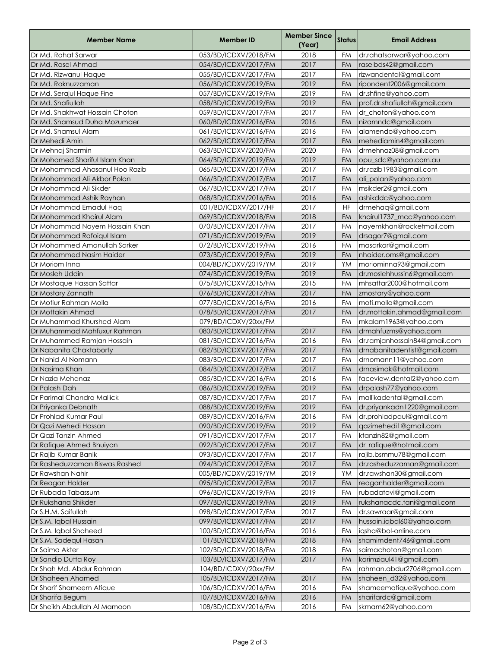| 2018<br>Dr Md. Rahat Sarwar<br>053/BD/ICDXV/2018/FM<br>FM<br>dr.rahatsarwar@yahoo.com<br>2017<br>Dr Md. Rasel Ahmad<br>raselbds42@gmail.com<br>054/BD/ICDXV/2017/FM<br><b>FM</b><br>2017<br>FM<br>rizwandental@gmail.com<br>Dr Md. Rizwanul Haque<br>055/BD/ICDXV/2017/FM<br>Dr Md. Roknuzzaman<br>2019<br><b>FM</b><br>056/BD/ICDXV/2019/FM<br>ripondent2006@gmail.com<br>2019<br>Dr Md. Serajul Haque Fine<br>057/BD/ICDXV/2019/FM<br><b>FM</b><br>dr.shfine@yahoo.com<br>2019<br>Dr Md. Shafiullah<br><b>FM</b><br>prof.dr.shafiullah@gmail.com<br>058/BD/ICDXV/2019/FM<br>2017<br>FM<br>Dr Md. Shakhwat Hossain Choton<br>059/BD/ICDXV/2017/FM<br>dr_choton@yahoo.com<br>2016<br>Dr Md. Shamsud Duha Mozumder<br>060/BD/ICDXV/2016/FM<br><b>FM</b><br>nizamndc@gmail.com<br>2016<br>Dr Md. Shamsul Alam<br>FM<br>061/BD/ICDXV/2016/FM<br>alamendo@yahoo.com<br>2017<br>Dr Mehedi Amin<br><b>FM</b><br>062/BD/ICDXV/2017/FM<br>mehediamin4@gmail.com<br>2020<br>FM<br>Dr Mehnaj Sharmin<br>063/BD/ICDXV/2020/FM<br>drmehnaz08@gmail.com<br>2019<br>Dr Mohamed Shariful Islam Khan<br><b>FM</b><br>064/BD/ICDXV/2019/FM<br>opu_sdc@yahoo.com.au<br>2017<br>Dr Mohammad Ahasanul Hoo Razib<br>065/BD/ICDXV/2017/FM<br><b>FM</b><br>dr.razlb1983@gmail.com<br>2017<br>Dr Mohammad Ali Akbor Polan<br>066/BD/ICDXV/2017/FM<br><b>FM</b><br>ali_polan@yahoo.com<br>2017<br>Dr Mohammad Ali Sikder<br>FM<br>067/BD/ICDXV/2017/FM<br>msikder2@gmail.com<br>2016<br>Dr Mohammad Ashik Rayhan<br>068/BD/ICDXV/2016/FM<br><b>FM</b><br>ashikddc@yahoo.com<br>2017<br>Dr Mohammad Emadul Haq<br><b>HF</b><br>drmehaq@gmail.com<br>001/BD/ICDXV/2017/HF<br>2018<br>Dr Mohammad Khairul Alam<br><b>FM</b><br>069/BD/ICDXV/2018/FM<br>khairul1737_mcc@yahoo.com<br>2017<br><b>FM</b><br>Dr Mohammad Nayem Hossain Khan<br>070/BD/ICDXV/2017/FM<br>nayemkhan@rocketmail.com<br>2019<br><b>FM</b><br>Dr Mohammad Rafoiqul Islam<br>071/BD/ICDXV/2019/FM<br>drsagor7@gmail.com<br>2016<br>Dr Mohammed Amanullah Sarker<br>072/BD/ICDXV/2019/FM<br>FM<br>masarkar@gmail.com<br>2019<br><b>FM</b><br>nhaider.oms@gmail.com<br>Dr Mohammed Nasim Haider<br>073/BD/ICDXV/2019/FM<br>2019<br>YM<br>moriominna93@gmail.com<br>Dr Moriom Inna<br>004/BD/ICDXV/2019/YM<br>2019<br>Dr Mosleh Uddin<br><b>FM</b><br>dr.moslehhussin6@gmail.com<br>074/BD/ICDXV/2019/FM<br>2015<br>mhsattar2000@hotmail.com<br><b>FM</b><br>Dr Mostaque Hassan Sattar<br>075/BD/ICDXV/2015/FM<br>2017<br>Dr Mostary Zannath<br>076/BD/ICDXV/2017/FM<br><b>FM</b><br>zmostary@yahoo.com<br>2016<br>Dr Motiur Rahman Molla<br>FM<br>moti.molla@gmail.com<br>077/BD/ICDXV/2016/FM<br>2017<br><b>FM</b><br>078/BD/ICDXV/2017/FM<br>dr.mottakin.ahmad@gmail.com<br>Dr Mottakin Ahmad<br>Dr Muhammad Khurshed Alam<br>079/BD/ICDXV/20xx/FM<br><b>FM</b><br>mkalam1963@yahoo.com<br>2017<br>Dr Muhammad Mahfuxur Rahman<br>080/BD/ICDXV/2017/FM<br>FM<br>drmahfuzms@yahoo.com<br>2016<br>FM<br>Dr Muhammed Ramjan Hossain<br>081/BD/ICDXV/2016/FM<br>dr.ramjanhossain84@gmail.com<br>2017<br>Dr Nabanita Chaktaborty<br>082/BD/ICDXV/2017/FM<br><b>FM</b><br>drnabanitadentist@gmail.com<br>Dr Nahid Al Nomann<br>2017<br><b>FM</b><br>drnomann11@yahoo.com<br>083/BD/ICDXV/2017/FM<br>2017<br>Dr Nasima Khan<br><b>FM</b><br>drnasimak@hotmail.com<br>084/BD/ICDXV/2017/FM<br>2016<br><b>FM</b><br>Dr Nazia Mehanaz<br>085/BD/ICDXV/2016/FM<br>faceview.dental2@yahoo.com<br>2019<br><b>FM</b><br>Dr Palash Dah<br>086/BD/ICDXV/2019/FM<br>drpalash77@yahoo.com<br>087/BD/ICDXV/2017/FM<br>Dr Parimal Chandra Mallick<br>2017<br>FΜ<br>mallikadental@gmail.com<br>2019<br>Dr Priyanka Debnath<br>088/BD/ICDXV/2019/FM<br><b>FM</b><br>dr.priyankadn1220@gmail.com<br>2016<br>Dr Prohlad Kumar Paul<br>FM<br>dr.prohladpaul@gmail.com<br>089/BD/ICDXV/2016/FM<br>2019<br><b>FM</b><br>qazimehedi1@gmail.com<br>Dr Qazi Mehedi Hassan<br>090/BD/ICDXV/2019/FM<br>Dr Qazi Tanzin Ahmed<br>2017<br>ktanzin82@gmail.com<br>091/BD/ICDXV/2017/FM<br>FM<br>2017<br>Dr Rafique Ahmed Bhuiyan<br>092/BD/ICDXV/2017/FM<br>dr_rafique@hotmail.com<br><b>FM</b><br>2017<br>Dr Rajib Kumar Banik<br>rajib.bsmmu78@gmail.com<br>093/BD/ICDXV/2017/FM<br>FM<br>2017<br>Dr Rasheduzzaman Biswas Rashed<br>094/BD/ICDXV/2017/FM<br>dr.rasheduzzaman@gmail.com<br><b>FM</b><br>2019<br>Dr Rawshan Nahir<br>005/BD/ICDXV/2019/YM<br>dr.rawshan30@gmail.com<br>YM<br>2017<br>Dr Reagan Halder<br>095/BD/ICDXV/2017/FM<br>reaganhalder@gmail.com<br>FM<br>2019<br>Dr Rubada Tabassum<br>096/BD/ICDXV/2019/FM<br>FM<br>rubadatovi@gmail.com<br>2019<br>Dr Rukshana Shikder<br>097/BD/ICDXV/2019/FM<br><b>FM</b><br>rukshanacdc.tani@gmail.com<br>2017<br>Dr S.H.M. Saifullah<br><b>FM</b><br>dr.sawraar@gmail.com<br>098/BD/ICDXV/2017/FM<br>2017<br>Dr S.M. Iqbal Hussain<br>099/BD/ICDXV/2017/FM<br>hussain.iqbal60@yahoo.com<br>FM<br>2016<br>Dr S.M. Iqbal Shaheed<br>100/BD/ICDXV/2016/FM<br>iqsha@bol-online.com<br>FM<br>Dr S.M. Sadequl Hasan<br>2018<br>shamimdent746@gmail.com<br>101/BD/ICDXV/2018/FM<br>FM<br>2018<br>Dr Saima Akter<br>102/BD/ICDXV/2018/FM<br>FM<br>saimachoton@gmail.com<br>2017<br>Dr Sandip Dutta Roy<br>103/BD/ICDXV/2017/FM<br>FM<br>karimziaul41@gmail.com<br>104/BD/ICDXV/20xx/FM<br>FM<br>rahman.abdur2706@gmail.com<br>Dr Shah Md. Abdur Rahman<br>2017<br>Dr Shaheen Ahamed<br><b>FM</b><br>105/BD/ICDXV/2017/FM<br>shaheen_d32@yahoo.com<br>2016<br>Dr Sharif Shameem Atique<br>106/BD/ICDXV/2016/FM<br>FM<br>shameematique@yahoo.com<br>2016<br>sharifardc@gmail.com<br>Dr Sharifa Begum<br>107/BD/ICDXV/2016/FM<br><b>FM</b> | <b>Member Name</b>           | <b>Member ID</b>     | <b>Member Since</b><br>(Year) | <b>Status</b> | <b>Email Address</b> |
|----------------------------------------------------------------------------------------------------------------------------------------------------------------------------------------------------------------------------------------------------------------------------------------------------------------------------------------------------------------------------------------------------------------------------------------------------------------------------------------------------------------------------------------------------------------------------------------------------------------------------------------------------------------------------------------------------------------------------------------------------------------------------------------------------------------------------------------------------------------------------------------------------------------------------------------------------------------------------------------------------------------------------------------------------------------------------------------------------------------------------------------------------------------------------------------------------------------------------------------------------------------------------------------------------------------------------------------------------------------------------------------------------------------------------------------------------------------------------------------------------------------------------------------------------------------------------------------------------------------------------------------------------------------------------------------------------------------------------------------------------------------------------------------------------------------------------------------------------------------------------------------------------------------------------------------------------------------------------------------------------------------------------------------------------------------------------------------------------------------------------------------------------------------------------------------------------------------------------------------------------------------------------------------------------------------------------------------------------------------------------------------------------------------------------------------------------------------------------------------------------------------------------------------------------------------------------------------------------------------------------------------------------------------------------------------------------------------------------------------------------------------------------------------------------------------------------------------------------------------------------------------------------------------------------------------------------------------------------------------------------------------------------------------------------------------------------------------------------------------------------------------------------------------------------------------------------------------------------------------------------------------------------------------------------------------------------------------------------------------------------------------------------------------------------------------------------------------------------------------------------------------------------------------------------------------------------------------------------------------------------------------------------------------------------------------------------------------------------------------------------------------------------------------------------------------------------------------------------------------------------------------------------------------------------------------------------------------------------------------------------------------------------------------------------------------------------------------------------------------------------------------------------------------------------------------------------------------------------------------------------------------------------------------------------------------------------------------------------------------------------------------------------------------------------------------------------------------------------------------------------------------------------------------------------------------------------------------------------------------------------------------------------------------------------------------------------------------------------------------------------------------------------------------------------------------------------------------------------------------------------------------------------------------------------------------------------------------------------------------------------------------------------------------------------------------------------------------------------------------------------------------------------------------------------------------------------------------------------------------------------------------------------------------------------------------------------------------------------------------------------------------------------------------------------------------------------------------------------------------------------------------------------------------------------------------------------------------------------|------------------------------|----------------------|-------------------------------|---------------|----------------------|
|                                                                                                                                                                                                                                                                                                                                                                                                                                                                                                                                                                                                                                                                                                                                                                                                                                                                                                                                                                                                                                                                                                                                                                                                                                                                                                                                                                                                                                                                                                                                                                                                                                                                                                                                                                                                                                                                                                                                                                                                                                                                                                                                                                                                                                                                                                                                                                                                                                                                                                                                                                                                                                                                                                                                                                                                                                                                                                                                                                                                                                                                                                                                                                                                                                                                                                                                                                                                                                                                                                                                                                                                                                                                                                                                                                                                                                                                                                                                                                                                                                                                                                                                                                                                                                                                                                                                                                                                                                                                                                                                                                                                                                                                                                                                                                                                                                                                                                                                                                                                                                                                                                                                                                                                                                                                                                                                                                                                                                                                                                                                                                                                    |                              |                      |                               |               |                      |
|                                                                                                                                                                                                                                                                                                                                                                                                                                                                                                                                                                                                                                                                                                                                                                                                                                                                                                                                                                                                                                                                                                                                                                                                                                                                                                                                                                                                                                                                                                                                                                                                                                                                                                                                                                                                                                                                                                                                                                                                                                                                                                                                                                                                                                                                                                                                                                                                                                                                                                                                                                                                                                                                                                                                                                                                                                                                                                                                                                                                                                                                                                                                                                                                                                                                                                                                                                                                                                                                                                                                                                                                                                                                                                                                                                                                                                                                                                                                                                                                                                                                                                                                                                                                                                                                                                                                                                                                                                                                                                                                                                                                                                                                                                                                                                                                                                                                                                                                                                                                                                                                                                                                                                                                                                                                                                                                                                                                                                                                                                                                                                                                    |                              |                      |                               |               |                      |
|                                                                                                                                                                                                                                                                                                                                                                                                                                                                                                                                                                                                                                                                                                                                                                                                                                                                                                                                                                                                                                                                                                                                                                                                                                                                                                                                                                                                                                                                                                                                                                                                                                                                                                                                                                                                                                                                                                                                                                                                                                                                                                                                                                                                                                                                                                                                                                                                                                                                                                                                                                                                                                                                                                                                                                                                                                                                                                                                                                                                                                                                                                                                                                                                                                                                                                                                                                                                                                                                                                                                                                                                                                                                                                                                                                                                                                                                                                                                                                                                                                                                                                                                                                                                                                                                                                                                                                                                                                                                                                                                                                                                                                                                                                                                                                                                                                                                                                                                                                                                                                                                                                                                                                                                                                                                                                                                                                                                                                                                                                                                                                                                    |                              |                      |                               |               |                      |
|                                                                                                                                                                                                                                                                                                                                                                                                                                                                                                                                                                                                                                                                                                                                                                                                                                                                                                                                                                                                                                                                                                                                                                                                                                                                                                                                                                                                                                                                                                                                                                                                                                                                                                                                                                                                                                                                                                                                                                                                                                                                                                                                                                                                                                                                                                                                                                                                                                                                                                                                                                                                                                                                                                                                                                                                                                                                                                                                                                                                                                                                                                                                                                                                                                                                                                                                                                                                                                                                                                                                                                                                                                                                                                                                                                                                                                                                                                                                                                                                                                                                                                                                                                                                                                                                                                                                                                                                                                                                                                                                                                                                                                                                                                                                                                                                                                                                                                                                                                                                                                                                                                                                                                                                                                                                                                                                                                                                                                                                                                                                                                                                    |                              |                      |                               |               |                      |
|                                                                                                                                                                                                                                                                                                                                                                                                                                                                                                                                                                                                                                                                                                                                                                                                                                                                                                                                                                                                                                                                                                                                                                                                                                                                                                                                                                                                                                                                                                                                                                                                                                                                                                                                                                                                                                                                                                                                                                                                                                                                                                                                                                                                                                                                                                                                                                                                                                                                                                                                                                                                                                                                                                                                                                                                                                                                                                                                                                                                                                                                                                                                                                                                                                                                                                                                                                                                                                                                                                                                                                                                                                                                                                                                                                                                                                                                                                                                                                                                                                                                                                                                                                                                                                                                                                                                                                                                                                                                                                                                                                                                                                                                                                                                                                                                                                                                                                                                                                                                                                                                                                                                                                                                                                                                                                                                                                                                                                                                                                                                                                                                    |                              |                      |                               |               |                      |
|                                                                                                                                                                                                                                                                                                                                                                                                                                                                                                                                                                                                                                                                                                                                                                                                                                                                                                                                                                                                                                                                                                                                                                                                                                                                                                                                                                                                                                                                                                                                                                                                                                                                                                                                                                                                                                                                                                                                                                                                                                                                                                                                                                                                                                                                                                                                                                                                                                                                                                                                                                                                                                                                                                                                                                                                                                                                                                                                                                                                                                                                                                                                                                                                                                                                                                                                                                                                                                                                                                                                                                                                                                                                                                                                                                                                                                                                                                                                                                                                                                                                                                                                                                                                                                                                                                                                                                                                                                                                                                                                                                                                                                                                                                                                                                                                                                                                                                                                                                                                                                                                                                                                                                                                                                                                                                                                                                                                                                                                                                                                                                                                    |                              |                      |                               |               |                      |
|                                                                                                                                                                                                                                                                                                                                                                                                                                                                                                                                                                                                                                                                                                                                                                                                                                                                                                                                                                                                                                                                                                                                                                                                                                                                                                                                                                                                                                                                                                                                                                                                                                                                                                                                                                                                                                                                                                                                                                                                                                                                                                                                                                                                                                                                                                                                                                                                                                                                                                                                                                                                                                                                                                                                                                                                                                                                                                                                                                                                                                                                                                                                                                                                                                                                                                                                                                                                                                                                                                                                                                                                                                                                                                                                                                                                                                                                                                                                                                                                                                                                                                                                                                                                                                                                                                                                                                                                                                                                                                                                                                                                                                                                                                                                                                                                                                                                                                                                                                                                                                                                                                                                                                                                                                                                                                                                                                                                                                                                                                                                                                                                    |                              |                      |                               |               |                      |
|                                                                                                                                                                                                                                                                                                                                                                                                                                                                                                                                                                                                                                                                                                                                                                                                                                                                                                                                                                                                                                                                                                                                                                                                                                                                                                                                                                                                                                                                                                                                                                                                                                                                                                                                                                                                                                                                                                                                                                                                                                                                                                                                                                                                                                                                                                                                                                                                                                                                                                                                                                                                                                                                                                                                                                                                                                                                                                                                                                                                                                                                                                                                                                                                                                                                                                                                                                                                                                                                                                                                                                                                                                                                                                                                                                                                                                                                                                                                                                                                                                                                                                                                                                                                                                                                                                                                                                                                                                                                                                                                                                                                                                                                                                                                                                                                                                                                                                                                                                                                                                                                                                                                                                                                                                                                                                                                                                                                                                                                                                                                                                                                    |                              |                      |                               |               |                      |
|                                                                                                                                                                                                                                                                                                                                                                                                                                                                                                                                                                                                                                                                                                                                                                                                                                                                                                                                                                                                                                                                                                                                                                                                                                                                                                                                                                                                                                                                                                                                                                                                                                                                                                                                                                                                                                                                                                                                                                                                                                                                                                                                                                                                                                                                                                                                                                                                                                                                                                                                                                                                                                                                                                                                                                                                                                                                                                                                                                                                                                                                                                                                                                                                                                                                                                                                                                                                                                                                                                                                                                                                                                                                                                                                                                                                                                                                                                                                                                                                                                                                                                                                                                                                                                                                                                                                                                                                                                                                                                                                                                                                                                                                                                                                                                                                                                                                                                                                                                                                                                                                                                                                                                                                                                                                                                                                                                                                                                                                                                                                                                                                    |                              |                      |                               |               |                      |
|                                                                                                                                                                                                                                                                                                                                                                                                                                                                                                                                                                                                                                                                                                                                                                                                                                                                                                                                                                                                                                                                                                                                                                                                                                                                                                                                                                                                                                                                                                                                                                                                                                                                                                                                                                                                                                                                                                                                                                                                                                                                                                                                                                                                                                                                                                                                                                                                                                                                                                                                                                                                                                                                                                                                                                                                                                                                                                                                                                                                                                                                                                                                                                                                                                                                                                                                                                                                                                                                                                                                                                                                                                                                                                                                                                                                                                                                                                                                                                                                                                                                                                                                                                                                                                                                                                                                                                                                                                                                                                                                                                                                                                                                                                                                                                                                                                                                                                                                                                                                                                                                                                                                                                                                                                                                                                                                                                                                                                                                                                                                                                                                    |                              |                      |                               |               |                      |
|                                                                                                                                                                                                                                                                                                                                                                                                                                                                                                                                                                                                                                                                                                                                                                                                                                                                                                                                                                                                                                                                                                                                                                                                                                                                                                                                                                                                                                                                                                                                                                                                                                                                                                                                                                                                                                                                                                                                                                                                                                                                                                                                                                                                                                                                                                                                                                                                                                                                                                                                                                                                                                                                                                                                                                                                                                                                                                                                                                                                                                                                                                                                                                                                                                                                                                                                                                                                                                                                                                                                                                                                                                                                                                                                                                                                                                                                                                                                                                                                                                                                                                                                                                                                                                                                                                                                                                                                                                                                                                                                                                                                                                                                                                                                                                                                                                                                                                                                                                                                                                                                                                                                                                                                                                                                                                                                                                                                                                                                                                                                                                                                    |                              |                      |                               |               |                      |
|                                                                                                                                                                                                                                                                                                                                                                                                                                                                                                                                                                                                                                                                                                                                                                                                                                                                                                                                                                                                                                                                                                                                                                                                                                                                                                                                                                                                                                                                                                                                                                                                                                                                                                                                                                                                                                                                                                                                                                                                                                                                                                                                                                                                                                                                                                                                                                                                                                                                                                                                                                                                                                                                                                                                                                                                                                                                                                                                                                                                                                                                                                                                                                                                                                                                                                                                                                                                                                                                                                                                                                                                                                                                                                                                                                                                                                                                                                                                                                                                                                                                                                                                                                                                                                                                                                                                                                                                                                                                                                                                                                                                                                                                                                                                                                                                                                                                                                                                                                                                                                                                                                                                                                                                                                                                                                                                                                                                                                                                                                                                                                                                    |                              |                      |                               |               |                      |
|                                                                                                                                                                                                                                                                                                                                                                                                                                                                                                                                                                                                                                                                                                                                                                                                                                                                                                                                                                                                                                                                                                                                                                                                                                                                                                                                                                                                                                                                                                                                                                                                                                                                                                                                                                                                                                                                                                                                                                                                                                                                                                                                                                                                                                                                                                                                                                                                                                                                                                                                                                                                                                                                                                                                                                                                                                                                                                                                                                                                                                                                                                                                                                                                                                                                                                                                                                                                                                                                                                                                                                                                                                                                                                                                                                                                                                                                                                                                                                                                                                                                                                                                                                                                                                                                                                                                                                                                                                                                                                                                                                                                                                                                                                                                                                                                                                                                                                                                                                                                                                                                                                                                                                                                                                                                                                                                                                                                                                                                                                                                                                                                    |                              |                      |                               |               |                      |
|                                                                                                                                                                                                                                                                                                                                                                                                                                                                                                                                                                                                                                                                                                                                                                                                                                                                                                                                                                                                                                                                                                                                                                                                                                                                                                                                                                                                                                                                                                                                                                                                                                                                                                                                                                                                                                                                                                                                                                                                                                                                                                                                                                                                                                                                                                                                                                                                                                                                                                                                                                                                                                                                                                                                                                                                                                                                                                                                                                                                                                                                                                                                                                                                                                                                                                                                                                                                                                                                                                                                                                                                                                                                                                                                                                                                                                                                                                                                                                                                                                                                                                                                                                                                                                                                                                                                                                                                                                                                                                                                                                                                                                                                                                                                                                                                                                                                                                                                                                                                                                                                                                                                                                                                                                                                                                                                                                                                                                                                                                                                                                                                    |                              |                      |                               |               |                      |
|                                                                                                                                                                                                                                                                                                                                                                                                                                                                                                                                                                                                                                                                                                                                                                                                                                                                                                                                                                                                                                                                                                                                                                                                                                                                                                                                                                                                                                                                                                                                                                                                                                                                                                                                                                                                                                                                                                                                                                                                                                                                                                                                                                                                                                                                                                                                                                                                                                                                                                                                                                                                                                                                                                                                                                                                                                                                                                                                                                                                                                                                                                                                                                                                                                                                                                                                                                                                                                                                                                                                                                                                                                                                                                                                                                                                                                                                                                                                                                                                                                                                                                                                                                                                                                                                                                                                                                                                                                                                                                                                                                                                                                                                                                                                                                                                                                                                                                                                                                                                                                                                                                                                                                                                                                                                                                                                                                                                                                                                                                                                                                                                    |                              |                      |                               |               |                      |
|                                                                                                                                                                                                                                                                                                                                                                                                                                                                                                                                                                                                                                                                                                                                                                                                                                                                                                                                                                                                                                                                                                                                                                                                                                                                                                                                                                                                                                                                                                                                                                                                                                                                                                                                                                                                                                                                                                                                                                                                                                                                                                                                                                                                                                                                                                                                                                                                                                                                                                                                                                                                                                                                                                                                                                                                                                                                                                                                                                                                                                                                                                                                                                                                                                                                                                                                                                                                                                                                                                                                                                                                                                                                                                                                                                                                                                                                                                                                                                                                                                                                                                                                                                                                                                                                                                                                                                                                                                                                                                                                                                                                                                                                                                                                                                                                                                                                                                                                                                                                                                                                                                                                                                                                                                                                                                                                                                                                                                                                                                                                                                                                    |                              |                      |                               |               |                      |
|                                                                                                                                                                                                                                                                                                                                                                                                                                                                                                                                                                                                                                                                                                                                                                                                                                                                                                                                                                                                                                                                                                                                                                                                                                                                                                                                                                                                                                                                                                                                                                                                                                                                                                                                                                                                                                                                                                                                                                                                                                                                                                                                                                                                                                                                                                                                                                                                                                                                                                                                                                                                                                                                                                                                                                                                                                                                                                                                                                                                                                                                                                                                                                                                                                                                                                                                                                                                                                                                                                                                                                                                                                                                                                                                                                                                                                                                                                                                                                                                                                                                                                                                                                                                                                                                                                                                                                                                                                                                                                                                                                                                                                                                                                                                                                                                                                                                                                                                                                                                                                                                                                                                                                                                                                                                                                                                                                                                                                                                                                                                                                                                    |                              |                      |                               |               |                      |
|                                                                                                                                                                                                                                                                                                                                                                                                                                                                                                                                                                                                                                                                                                                                                                                                                                                                                                                                                                                                                                                                                                                                                                                                                                                                                                                                                                                                                                                                                                                                                                                                                                                                                                                                                                                                                                                                                                                                                                                                                                                                                                                                                                                                                                                                                                                                                                                                                                                                                                                                                                                                                                                                                                                                                                                                                                                                                                                                                                                                                                                                                                                                                                                                                                                                                                                                                                                                                                                                                                                                                                                                                                                                                                                                                                                                                                                                                                                                                                                                                                                                                                                                                                                                                                                                                                                                                                                                                                                                                                                                                                                                                                                                                                                                                                                                                                                                                                                                                                                                                                                                                                                                                                                                                                                                                                                                                                                                                                                                                                                                                                                                    |                              |                      |                               |               |                      |
|                                                                                                                                                                                                                                                                                                                                                                                                                                                                                                                                                                                                                                                                                                                                                                                                                                                                                                                                                                                                                                                                                                                                                                                                                                                                                                                                                                                                                                                                                                                                                                                                                                                                                                                                                                                                                                                                                                                                                                                                                                                                                                                                                                                                                                                                                                                                                                                                                                                                                                                                                                                                                                                                                                                                                                                                                                                                                                                                                                                                                                                                                                                                                                                                                                                                                                                                                                                                                                                                                                                                                                                                                                                                                                                                                                                                                                                                                                                                                                                                                                                                                                                                                                                                                                                                                                                                                                                                                                                                                                                                                                                                                                                                                                                                                                                                                                                                                                                                                                                                                                                                                                                                                                                                                                                                                                                                                                                                                                                                                                                                                                                                    |                              |                      |                               |               |                      |
|                                                                                                                                                                                                                                                                                                                                                                                                                                                                                                                                                                                                                                                                                                                                                                                                                                                                                                                                                                                                                                                                                                                                                                                                                                                                                                                                                                                                                                                                                                                                                                                                                                                                                                                                                                                                                                                                                                                                                                                                                                                                                                                                                                                                                                                                                                                                                                                                                                                                                                                                                                                                                                                                                                                                                                                                                                                                                                                                                                                                                                                                                                                                                                                                                                                                                                                                                                                                                                                                                                                                                                                                                                                                                                                                                                                                                                                                                                                                                                                                                                                                                                                                                                                                                                                                                                                                                                                                                                                                                                                                                                                                                                                                                                                                                                                                                                                                                                                                                                                                                                                                                                                                                                                                                                                                                                                                                                                                                                                                                                                                                                                                    |                              |                      |                               |               |                      |
|                                                                                                                                                                                                                                                                                                                                                                                                                                                                                                                                                                                                                                                                                                                                                                                                                                                                                                                                                                                                                                                                                                                                                                                                                                                                                                                                                                                                                                                                                                                                                                                                                                                                                                                                                                                                                                                                                                                                                                                                                                                                                                                                                                                                                                                                                                                                                                                                                                                                                                                                                                                                                                                                                                                                                                                                                                                                                                                                                                                                                                                                                                                                                                                                                                                                                                                                                                                                                                                                                                                                                                                                                                                                                                                                                                                                                                                                                                                                                                                                                                                                                                                                                                                                                                                                                                                                                                                                                                                                                                                                                                                                                                                                                                                                                                                                                                                                                                                                                                                                                                                                                                                                                                                                                                                                                                                                                                                                                                                                                                                                                                                                    |                              |                      |                               |               |                      |
|                                                                                                                                                                                                                                                                                                                                                                                                                                                                                                                                                                                                                                                                                                                                                                                                                                                                                                                                                                                                                                                                                                                                                                                                                                                                                                                                                                                                                                                                                                                                                                                                                                                                                                                                                                                                                                                                                                                                                                                                                                                                                                                                                                                                                                                                                                                                                                                                                                                                                                                                                                                                                                                                                                                                                                                                                                                                                                                                                                                                                                                                                                                                                                                                                                                                                                                                                                                                                                                                                                                                                                                                                                                                                                                                                                                                                                                                                                                                                                                                                                                                                                                                                                                                                                                                                                                                                                                                                                                                                                                                                                                                                                                                                                                                                                                                                                                                                                                                                                                                                                                                                                                                                                                                                                                                                                                                                                                                                                                                                                                                                                                                    |                              |                      |                               |               |                      |
|                                                                                                                                                                                                                                                                                                                                                                                                                                                                                                                                                                                                                                                                                                                                                                                                                                                                                                                                                                                                                                                                                                                                                                                                                                                                                                                                                                                                                                                                                                                                                                                                                                                                                                                                                                                                                                                                                                                                                                                                                                                                                                                                                                                                                                                                                                                                                                                                                                                                                                                                                                                                                                                                                                                                                                                                                                                                                                                                                                                                                                                                                                                                                                                                                                                                                                                                                                                                                                                                                                                                                                                                                                                                                                                                                                                                                                                                                                                                                                                                                                                                                                                                                                                                                                                                                                                                                                                                                                                                                                                                                                                                                                                                                                                                                                                                                                                                                                                                                                                                                                                                                                                                                                                                                                                                                                                                                                                                                                                                                                                                                                                                    |                              |                      |                               |               |                      |
|                                                                                                                                                                                                                                                                                                                                                                                                                                                                                                                                                                                                                                                                                                                                                                                                                                                                                                                                                                                                                                                                                                                                                                                                                                                                                                                                                                                                                                                                                                                                                                                                                                                                                                                                                                                                                                                                                                                                                                                                                                                                                                                                                                                                                                                                                                                                                                                                                                                                                                                                                                                                                                                                                                                                                                                                                                                                                                                                                                                                                                                                                                                                                                                                                                                                                                                                                                                                                                                                                                                                                                                                                                                                                                                                                                                                                                                                                                                                                                                                                                                                                                                                                                                                                                                                                                                                                                                                                                                                                                                                                                                                                                                                                                                                                                                                                                                                                                                                                                                                                                                                                                                                                                                                                                                                                                                                                                                                                                                                                                                                                                                                    |                              |                      |                               |               |                      |
|                                                                                                                                                                                                                                                                                                                                                                                                                                                                                                                                                                                                                                                                                                                                                                                                                                                                                                                                                                                                                                                                                                                                                                                                                                                                                                                                                                                                                                                                                                                                                                                                                                                                                                                                                                                                                                                                                                                                                                                                                                                                                                                                                                                                                                                                                                                                                                                                                                                                                                                                                                                                                                                                                                                                                                                                                                                                                                                                                                                                                                                                                                                                                                                                                                                                                                                                                                                                                                                                                                                                                                                                                                                                                                                                                                                                                                                                                                                                                                                                                                                                                                                                                                                                                                                                                                                                                                                                                                                                                                                                                                                                                                                                                                                                                                                                                                                                                                                                                                                                                                                                                                                                                                                                                                                                                                                                                                                                                                                                                                                                                                                                    |                              |                      |                               |               |                      |
|                                                                                                                                                                                                                                                                                                                                                                                                                                                                                                                                                                                                                                                                                                                                                                                                                                                                                                                                                                                                                                                                                                                                                                                                                                                                                                                                                                                                                                                                                                                                                                                                                                                                                                                                                                                                                                                                                                                                                                                                                                                                                                                                                                                                                                                                                                                                                                                                                                                                                                                                                                                                                                                                                                                                                                                                                                                                                                                                                                                                                                                                                                                                                                                                                                                                                                                                                                                                                                                                                                                                                                                                                                                                                                                                                                                                                                                                                                                                                                                                                                                                                                                                                                                                                                                                                                                                                                                                                                                                                                                                                                                                                                                                                                                                                                                                                                                                                                                                                                                                                                                                                                                                                                                                                                                                                                                                                                                                                                                                                                                                                                                                    |                              |                      |                               |               |                      |
|                                                                                                                                                                                                                                                                                                                                                                                                                                                                                                                                                                                                                                                                                                                                                                                                                                                                                                                                                                                                                                                                                                                                                                                                                                                                                                                                                                                                                                                                                                                                                                                                                                                                                                                                                                                                                                                                                                                                                                                                                                                                                                                                                                                                                                                                                                                                                                                                                                                                                                                                                                                                                                                                                                                                                                                                                                                                                                                                                                                                                                                                                                                                                                                                                                                                                                                                                                                                                                                                                                                                                                                                                                                                                                                                                                                                                                                                                                                                                                                                                                                                                                                                                                                                                                                                                                                                                                                                                                                                                                                                                                                                                                                                                                                                                                                                                                                                                                                                                                                                                                                                                                                                                                                                                                                                                                                                                                                                                                                                                                                                                                                                    |                              |                      |                               |               |                      |
|                                                                                                                                                                                                                                                                                                                                                                                                                                                                                                                                                                                                                                                                                                                                                                                                                                                                                                                                                                                                                                                                                                                                                                                                                                                                                                                                                                                                                                                                                                                                                                                                                                                                                                                                                                                                                                                                                                                                                                                                                                                                                                                                                                                                                                                                                                                                                                                                                                                                                                                                                                                                                                                                                                                                                                                                                                                                                                                                                                                                                                                                                                                                                                                                                                                                                                                                                                                                                                                                                                                                                                                                                                                                                                                                                                                                                                                                                                                                                                                                                                                                                                                                                                                                                                                                                                                                                                                                                                                                                                                                                                                                                                                                                                                                                                                                                                                                                                                                                                                                                                                                                                                                                                                                                                                                                                                                                                                                                                                                                                                                                                                                    |                              |                      |                               |               |                      |
|                                                                                                                                                                                                                                                                                                                                                                                                                                                                                                                                                                                                                                                                                                                                                                                                                                                                                                                                                                                                                                                                                                                                                                                                                                                                                                                                                                                                                                                                                                                                                                                                                                                                                                                                                                                                                                                                                                                                                                                                                                                                                                                                                                                                                                                                                                                                                                                                                                                                                                                                                                                                                                                                                                                                                                                                                                                                                                                                                                                                                                                                                                                                                                                                                                                                                                                                                                                                                                                                                                                                                                                                                                                                                                                                                                                                                                                                                                                                                                                                                                                                                                                                                                                                                                                                                                                                                                                                                                                                                                                                                                                                                                                                                                                                                                                                                                                                                                                                                                                                                                                                                                                                                                                                                                                                                                                                                                                                                                                                                                                                                                                                    |                              |                      |                               |               |                      |
|                                                                                                                                                                                                                                                                                                                                                                                                                                                                                                                                                                                                                                                                                                                                                                                                                                                                                                                                                                                                                                                                                                                                                                                                                                                                                                                                                                                                                                                                                                                                                                                                                                                                                                                                                                                                                                                                                                                                                                                                                                                                                                                                                                                                                                                                                                                                                                                                                                                                                                                                                                                                                                                                                                                                                                                                                                                                                                                                                                                                                                                                                                                                                                                                                                                                                                                                                                                                                                                                                                                                                                                                                                                                                                                                                                                                                                                                                                                                                                                                                                                                                                                                                                                                                                                                                                                                                                                                                                                                                                                                                                                                                                                                                                                                                                                                                                                                                                                                                                                                                                                                                                                                                                                                                                                                                                                                                                                                                                                                                                                                                                                                    |                              |                      |                               |               |                      |
|                                                                                                                                                                                                                                                                                                                                                                                                                                                                                                                                                                                                                                                                                                                                                                                                                                                                                                                                                                                                                                                                                                                                                                                                                                                                                                                                                                                                                                                                                                                                                                                                                                                                                                                                                                                                                                                                                                                                                                                                                                                                                                                                                                                                                                                                                                                                                                                                                                                                                                                                                                                                                                                                                                                                                                                                                                                                                                                                                                                                                                                                                                                                                                                                                                                                                                                                                                                                                                                                                                                                                                                                                                                                                                                                                                                                                                                                                                                                                                                                                                                                                                                                                                                                                                                                                                                                                                                                                                                                                                                                                                                                                                                                                                                                                                                                                                                                                                                                                                                                                                                                                                                                                                                                                                                                                                                                                                                                                                                                                                                                                                                                    |                              |                      |                               |               |                      |
|                                                                                                                                                                                                                                                                                                                                                                                                                                                                                                                                                                                                                                                                                                                                                                                                                                                                                                                                                                                                                                                                                                                                                                                                                                                                                                                                                                                                                                                                                                                                                                                                                                                                                                                                                                                                                                                                                                                                                                                                                                                                                                                                                                                                                                                                                                                                                                                                                                                                                                                                                                                                                                                                                                                                                                                                                                                                                                                                                                                                                                                                                                                                                                                                                                                                                                                                                                                                                                                                                                                                                                                                                                                                                                                                                                                                                                                                                                                                                                                                                                                                                                                                                                                                                                                                                                                                                                                                                                                                                                                                                                                                                                                                                                                                                                                                                                                                                                                                                                                                                                                                                                                                                                                                                                                                                                                                                                                                                                                                                                                                                                                                    |                              |                      |                               |               |                      |
|                                                                                                                                                                                                                                                                                                                                                                                                                                                                                                                                                                                                                                                                                                                                                                                                                                                                                                                                                                                                                                                                                                                                                                                                                                                                                                                                                                                                                                                                                                                                                                                                                                                                                                                                                                                                                                                                                                                                                                                                                                                                                                                                                                                                                                                                                                                                                                                                                                                                                                                                                                                                                                                                                                                                                                                                                                                                                                                                                                                                                                                                                                                                                                                                                                                                                                                                                                                                                                                                                                                                                                                                                                                                                                                                                                                                                                                                                                                                                                                                                                                                                                                                                                                                                                                                                                                                                                                                                                                                                                                                                                                                                                                                                                                                                                                                                                                                                                                                                                                                                                                                                                                                                                                                                                                                                                                                                                                                                                                                                                                                                                                                    |                              |                      |                               |               |                      |
|                                                                                                                                                                                                                                                                                                                                                                                                                                                                                                                                                                                                                                                                                                                                                                                                                                                                                                                                                                                                                                                                                                                                                                                                                                                                                                                                                                                                                                                                                                                                                                                                                                                                                                                                                                                                                                                                                                                                                                                                                                                                                                                                                                                                                                                                                                                                                                                                                                                                                                                                                                                                                                                                                                                                                                                                                                                                                                                                                                                                                                                                                                                                                                                                                                                                                                                                                                                                                                                                                                                                                                                                                                                                                                                                                                                                                                                                                                                                                                                                                                                                                                                                                                                                                                                                                                                                                                                                                                                                                                                                                                                                                                                                                                                                                                                                                                                                                                                                                                                                                                                                                                                                                                                                                                                                                                                                                                                                                                                                                                                                                                                                    |                              |                      |                               |               |                      |
|                                                                                                                                                                                                                                                                                                                                                                                                                                                                                                                                                                                                                                                                                                                                                                                                                                                                                                                                                                                                                                                                                                                                                                                                                                                                                                                                                                                                                                                                                                                                                                                                                                                                                                                                                                                                                                                                                                                                                                                                                                                                                                                                                                                                                                                                                                                                                                                                                                                                                                                                                                                                                                                                                                                                                                                                                                                                                                                                                                                                                                                                                                                                                                                                                                                                                                                                                                                                                                                                                                                                                                                                                                                                                                                                                                                                                                                                                                                                                                                                                                                                                                                                                                                                                                                                                                                                                                                                                                                                                                                                                                                                                                                                                                                                                                                                                                                                                                                                                                                                                                                                                                                                                                                                                                                                                                                                                                                                                                                                                                                                                                                                    |                              |                      |                               |               |                      |
|                                                                                                                                                                                                                                                                                                                                                                                                                                                                                                                                                                                                                                                                                                                                                                                                                                                                                                                                                                                                                                                                                                                                                                                                                                                                                                                                                                                                                                                                                                                                                                                                                                                                                                                                                                                                                                                                                                                                                                                                                                                                                                                                                                                                                                                                                                                                                                                                                                                                                                                                                                                                                                                                                                                                                                                                                                                                                                                                                                                                                                                                                                                                                                                                                                                                                                                                                                                                                                                                                                                                                                                                                                                                                                                                                                                                                                                                                                                                                                                                                                                                                                                                                                                                                                                                                                                                                                                                                                                                                                                                                                                                                                                                                                                                                                                                                                                                                                                                                                                                                                                                                                                                                                                                                                                                                                                                                                                                                                                                                                                                                                                                    |                              |                      |                               |               |                      |
|                                                                                                                                                                                                                                                                                                                                                                                                                                                                                                                                                                                                                                                                                                                                                                                                                                                                                                                                                                                                                                                                                                                                                                                                                                                                                                                                                                                                                                                                                                                                                                                                                                                                                                                                                                                                                                                                                                                                                                                                                                                                                                                                                                                                                                                                                                                                                                                                                                                                                                                                                                                                                                                                                                                                                                                                                                                                                                                                                                                                                                                                                                                                                                                                                                                                                                                                                                                                                                                                                                                                                                                                                                                                                                                                                                                                                                                                                                                                                                                                                                                                                                                                                                                                                                                                                                                                                                                                                                                                                                                                                                                                                                                                                                                                                                                                                                                                                                                                                                                                                                                                                                                                                                                                                                                                                                                                                                                                                                                                                                                                                                                                    |                              |                      |                               |               |                      |
|                                                                                                                                                                                                                                                                                                                                                                                                                                                                                                                                                                                                                                                                                                                                                                                                                                                                                                                                                                                                                                                                                                                                                                                                                                                                                                                                                                                                                                                                                                                                                                                                                                                                                                                                                                                                                                                                                                                                                                                                                                                                                                                                                                                                                                                                                                                                                                                                                                                                                                                                                                                                                                                                                                                                                                                                                                                                                                                                                                                                                                                                                                                                                                                                                                                                                                                                                                                                                                                                                                                                                                                                                                                                                                                                                                                                                                                                                                                                                                                                                                                                                                                                                                                                                                                                                                                                                                                                                                                                                                                                                                                                                                                                                                                                                                                                                                                                                                                                                                                                                                                                                                                                                                                                                                                                                                                                                                                                                                                                                                                                                                                                    |                              |                      |                               |               |                      |
|                                                                                                                                                                                                                                                                                                                                                                                                                                                                                                                                                                                                                                                                                                                                                                                                                                                                                                                                                                                                                                                                                                                                                                                                                                                                                                                                                                                                                                                                                                                                                                                                                                                                                                                                                                                                                                                                                                                                                                                                                                                                                                                                                                                                                                                                                                                                                                                                                                                                                                                                                                                                                                                                                                                                                                                                                                                                                                                                                                                                                                                                                                                                                                                                                                                                                                                                                                                                                                                                                                                                                                                                                                                                                                                                                                                                                                                                                                                                                                                                                                                                                                                                                                                                                                                                                                                                                                                                                                                                                                                                                                                                                                                                                                                                                                                                                                                                                                                                                                                                                                                                                                                                                                                                                                                                                                                                                                                                                                                                                                                                                                                                    |                              |                      |                               |               |                      |
|                                                                                                                                                                                                                                                                                                                                                                                                                                                                                                                                                                                                                                                                                                                                                                                                                                                                                                                                                                                                                                                                                                                                                                                                                                                                                                                                                                                                                                                                                                                                                                                                                                                                                                                                                                                                                                                                                                                                                                                                                                                                                                                                                                                                                                                                                                                                                                                                                                                                                                                                                                                                                                                                                                                                                                                                                                                                                                                                                                                                                                                                                                                                                                                                                                                                                                                                                                                                                                                                                                                                                                                                                                                                                                                                                                                                                                                                                                                                                                                                                                                                                                                                                                                                                                                                                                                                                                                                                                                                                                                                                                                                                                                                                                                                                                                                                                                                                                                                                                                                                                                                                                                                                                                                                                                                                                                                                                                                                                                                                                                                                                                                    |                              |                      |                               |               |                      |
|                                                                                                                                                                                                                                                                                                                                                                                                                                                                                                                                                                                                                                                                                                                                                                                                                                                                                                                                                                                                                                                                                                                                                                                                                                                                                                                                                                                                                                                                                                                                                                                                                                                                                                                                                                                                                                                                                                                                                                                                                                                                                                                                                                                                                                                                                                                                                                                                                                                                                                                                                                                                                                                                                                                                                                                                                                                                                                                                                                                                                                                                                                                                                                                                                                                                                                                                                                                                                                                                                                                                                                                                                                                                                                                                                                                                                                                                                                                                                                                                                                                                                                                                                                                                                                                                                                                                                                                                                                                                                                                                                                                                                                                                                                                                                                                                                                                                                                                                                                                                                                                                                                                                                                                                                                                                                                                                                                                                                                                                                                                                                                                                    |                              |                      |                               |               |                      |
|                                                                                                                                                                                                                                                                                                                                                                                                                                                                                                                                                                                                                                                                                                                                                                                                                                                                                                                                                                                                                                                                                                                                                                                                                                                                                                                                                                                                                                                                                                                                                                                                                                                                                                                                                                                                                                                                                                                                                                                                                                                                                                                                                                                                                                                                                                                                                                                                                                                                                                                                                                                                                                                                                                                                                                                                                                                                                                                                                                                                                                                                                                                                                                                                                                                                                                                                                                                                                                                                                                                                                                                                                                                                                                                                                                                                                                                                                                                                                                                                                                                                                                                                                                                                                                                                                                                                                                                                                                                                                                                                                                                                                                                                                                                                                                                                                                                                                                                                                                                                                                                                                                                                                                                                                                                                                                                                                                                                                                                                                                                                                                                                    |                              |                      |                               |               |                      |
|                                                                                                                                                                                                                                                                                                                                                                                                                                                                                                                                                                                                                                                                                                                                                                                                                                                                                                                                                                                                                                                                                                                                                                                                                                                                                                                                                                                                                                                                                                                                                                                                                                                                                                                                                                                                                                                                                                                                                                                                                                                                                                                                                                                                                                                                                                                                                                                                                                                                                                                                                                                                                                                                                                                                                                                                                                                                                                                                                                                                                                                                                                                                                                                                                                                                                                                                                                                                                                                                                                                                                                                                                                                                                                                                                                                                                                                                                                                                                                                                                                                                                                                                                                                                                                                                                                                                                                                                                                                                                                                                                                                                                                                                                                                                                                                                                                                                                                                                                                                                                                                                                                                                                                                                                                                                                                                                                                                                                                                                                                                                                                                                    |                              |                      |                               |               |                      |
|                                                                                                                                                                                                                                                                                                                                                                                                                                                                                                                                                                                                                                                                                                                                                                                                                                                                                                                                                                                                                                                                                                                                                                                                                                                                                                                                                                                                                                                                                                                                                                                                                                                                                                                                                                                                                                                                                                                                                                                                                                                                                                                                                                                                                                                                                                                                                                                                                                                                                                                                                                                                                                                                                                                                                                                                                                                                                                                                                                                                                                                                                                                                                                                                                                                                                                                                                                                                                                                                                                                                                                                                                                                                                                                                                                                                                                                                                                                                                                                                                                                                                                                                                                                                                                                                                                                                                                                                                                                                                                                                                                                                                                                                                                                                                                                                                                                                                                                                                                                                                                                                                                                                                                                                                                                                                                                                                                                                                                                                                                                                                                                                    |                              |                      |                               |               |                      |
|                                                                                                                                                                                                                                                                                                                                                                                                                                                                                                                                                                                                                                                                                                                                                                                                                                                                                                                                                                                                                                                                                                                                                                                                                                                                                                                                                                                                                                                                                                                                                                                                                                                                                                                                                                                                                                                                                                                                                                                                                                                                                                                                                                                                                                                                                                                                                                                                                                                                                                                                                                                                                                                                                                                                                                                                                                                                                                                                                                                                                                                                                                                                                                                                                                                                                                                                                                                                                                                                                                                                                                                                                                                                                                                                                                                                                                                                                                                                                                                                                                                                                                                                                                                                                                                                                                                                                                                                                                                                                                                                                                                                                                                                                                                                                                                                                                                                                                                                                                                                                                                                                                                                                                                                                                                                                                                                                                                                                                                                                                                                                                                                    |                              |                      |                               |               |                      |
|                                                                                                                                                                                                                                                                                                                                                                                                                                                                                                                                                                                                                                                                                                                                                                                                                                                                                                                                                                                                                                                                                                                                                                                                                                                                                                                                                                                                                                                                                                                                                                                                                                                                                                                                                                                                                                                                                                                                                                                                                                                                                                                                                                                                                                                                                                                                                                                                                                                                                                                                                                                                                                                                                                                                                                                                                                                                                                                                                                                                                                                                                                                                                                                                                                                                                                                                                                                                                                                                                                                                                                                                                                                                                                                                                                                                                                                                                                                                                                                                                                                                                                                                                                                                                                                                                                                                                                                                                                                                                                                                                                                                                                                                                                                                                                                                                                                                                                                                                                                                                                                                                                                                                                                                                                                                                                                                                                                                                                                                                                                                                                                                    |                              |                      |                               |               |                      |
|                                                                                                                                                                                                                                                                                                                                                                                                                                                                                                                                                                                                                                                                                                                                                                                                                                                                                                                                                                                                                                                                                                                                                                                                                                                                                                                                                                                                                                                                                                                                                                                                                                                                                                                                                                                                                                                                                                                                                                                                                                                                                                                                                                                                                                                                                                                                                                                                                                                                                                                                                                                                                                                                                                                                                                                                                                                                                                                                                                                                                                                                                                                                                                                                                                                                                                                                                                                                                                                                                                                                                                                                                                                                                                                                                                                                                                                                                                                                                                                                                                                                                                                                                                                                                                                                                                                                                                                                                                                                                                                                                                                                                                                                                                                                                                                                                                                                                                                                                                                                                                                                                                                                                                                                                                                                                                                                                                                                                                                                                                                                                                                                    |                              |                      |                               |               |                      |
|                                                                                                                                                                                                                                                                                                                                                                                                                                                                                                                                                                                                                                                                                                                                                                                                                                                                                                                                                                                                                                                                                                                                                                                                                                                                                                                                                                                                                                                                                                                                                                                                                                                                                                                                                                                                                                                                                                                                                                                                                                                                                                                                                                                                                                                                                                                                                                                                                                                                                                                                                                                                                                                                                                                                                                                                                                                                                                                                                                                                                                                                                                                                                                                                                                                                                                                                                                                                                                                                                                                                                                                                                                                                                                                                                                                                                                                                                                                                                                                                                                                                                                                                                                                                                                                                                                                                                                                                                                                                                                                                                                                                                                                                                                                                                                                                                                                                                                                                                                                                                                                                                                                                                                                                                                                                                                                                                                                                                                                                                                                                                                                                    |                              |                      |                               |               |                      |
|                                                                                                                                                                                                                                                                                                                                                                                                                                                                                                                                                                                                                                                                                                                                                                                                                                                                                                                                                                                                                                                                                                                                                                                                                                                                                                                                                                                                                                                                                                                                                                                                                                                                                                                                                                                                                                                                                                                                                                                                                                                                                                                                                                                                                                                                                                                                                                                                                                                                                                                                                                                                                                                                                                                                                                                                                                                                                                                                                                                                                                                                                                                                                                                                                                                                                                                                                                                                                                                                                                                                                                                                                                                                                                                                                                                                                                                                                                                                                                                                                                                                                                                                                                                                                                                                                                                                                                                                                                                                                                                                                                                                                                                                                                                                                                                                                                                                                                                                                                                                                                                                                                                                                                                                                                                                                                                                                                                                                                                                                                                                                                                                    |                              |                      |                               |               |                      |
|                                                                                                                                                                                                                                                                                                                                                                                                                                                                                                                                                                                                                                                                                                                                                                                                                                                                                                                                                                                                                                                                                                                                                                                                                                                                                                                                                                                                                                                                                                                                                                                                                                                                                                                                                                                                                                                                                                                                                                                                                                                                                                                                                                                                                                                                                                                                                                                                                                                                                                                                                                                                                                                                                                                                                                                                                                                                                                                                                                                                                                                                                                                                                                                                                                                                                                                                                                                                                                                                                                                                                                                                                                                                                                                                                                                                                                                                                                                                                                                                                                                                                                                                                                                                                                                                                                                                                                                                                                                                                                                                                                                                                                                                                                                                                                                                                                                                                                                                                                                                                                                                                                                                                                                                                                                                                                                                                                                                                                                                                                                                                                                                    |                              |                      |                               |               |                      |
|                                                                                                                                                                                                                                                                                                                                                                                                                                                                                                                                                                                                                                                                                                                                                                                                                                                                                                                                                                                                                                                                                                                                                                                                                                                                                                                                                                                                                                                                                                                                                                                                                                                                                                                                                                                                                                                                                                                                                                                                                                                                                                                                                                                                                                                                                                                                                                                                                                                                                                                                                                                                                                                                                                                                                                                                                                                                                                                                                                                                                                                                                                                                                                                                                                                                                                                                                                                                                                                                                                                                                                                                                                                                                                                                                                                                                                                                                                                                                                                                                                                                                                                                                                                                                                                                                                                                                                                                                                                                                                                                                                                                                                                                                                                                                                                                                                                                                                                                                                                                                                                                                                                                                                                                                                                                                                                                                                                                                                                                                                                                                                                                    |                              |                      |                               |               |                      |
|                                                                                                                                                                                                                                                                                                                                                                                                                                                                                                                                                                                                                                                                                                                                                                                                                                                                                                                                                                                                                                                                                                                                                                                                                                                                                                                                                                                                                                                                                                                                                                                                                                                                                                                                                                                                                                                                                                                                                                                                                                                                                                                                                                                                                                                                                                                                                                                                                                                                                                                                                                                                                                                                                                                                                                                                                                                                                                                                                                                                                                                                                                                                                                                                                                                                                                                                                                                                                                                                                                                                                                                                                                                                                                                                                                                                                                                                                                                                                                                                                                                                                                                                                                                                                                                                                                                                                                                                                                                                                                                                                                                                                                                                                                                                                                                                                                                                                                                                                                                                                                                                                                                                                                                                                                                                                                                                                                                                                                                                                                                                                                                                    |                              |                      |                               |               |                      |
|                                                                                                                                                                                                                                                                                                                                                                                                                                                                                                                                                                                                                                                                                                                                                                                                                                                                                                                                                                                                                                                                                                                                                                                                                                                                                                                                                                                                                                                                                                                                                                                                                                                                                                                                                                                                                                                                                                                                                                                                                                                                                                                                                                                                                                                                                                                                                                                                                                                                                                                                                                                                                                                                                                                                                                                                                                                                                                                                                                                                                                                                                                                                                                                                                                                                                                                                                                                                                                                                                                                                                                                                                                                                                                                                                                                                                                                                                                                                                                                                                                                                                                                                                                                                                                                                                                                                                                                                                                                                                                                                                                                                                                                                                                                                                                                                                                                                                                                                                                                                                                                                                                                                                                                                                                                                                                                                                                                                                                                                                                                                                                                                    |                              |                      |                               |               |                      |
|                                                                                                                                                                                                                                                                                                                                                                                                                                                                                                                                                                                                                                                                                                                                                                                                                                                                                                                                                                                                                                                                                                                                                                                                                                                                                                                                                                                                                                                                                                                                                                                                                                                                                                                                                                                                                                                                                                                                                                                                                                                                                                                                                                                                                                                                                                                                                                                                                                                                                                                                                                                                                                                                                                                                                                                                                                                                                                                                                                                                                                                                                                                                                                                                                                                                                                                                                                                                                                                                                                                                                                                                                                                                                                                                                                                                                                                                                                                                                                                                                                                                                                                                                                                                                                                                                                                                                                                                                                                                                                                                                                                                                                                                                                                                                                                                                                                                                                                                                                                                                                                                                                                                                                                                                                                                                                                                                                                                                                                                                                                                                                                                    |                              |                      |                               |               |                      |
|                                                                                                                                                                                                                                                                                                                                                                                                                                                                                                                                                                                                                                                                                                                                                                                                                                                                                                                                                                                                                                                                                                                                                                                                                                                                                                                                                                                                                                                                                                                                                                                                                                                                                                                                                                                                                                                                                                                                                                                                                                                                                                                                                                                                                                                                                                                                                                                                                                                                                                                                                                                                                                                                                                                                                                                                                                                                                                                                                                                                                                                                                                                                                                                                                                                                                                                                                                                                                                                                                                                                                                                                                                                                                                                                                                                                                                                                                                                                                                                                                                                                                                                                                                                                                                                                                                                                                                                                                                                                                                                                                                                                                                                                                                                                                                                                                                                                                                                                                                                                                                                                                                                                                                                                                                                                                                                                                                                                                                                                                                                                                                                                    |                              |                      |                               |               |                      |
|                                                                                                                                                                                                                                                                                                                                                                                                                                                                                                                                                                                                                                                                                                                                                                                                                                                                                                                                                                                                                                                                                                                                                                                                                                                                                                                                                                                                                                                                                                                                                                                                                                                                                                                                                                                                                                                                                                                                                                                                                                                                                                                                                                                                                                                                                                                                                                                                                                                                                                                                                                                                                                                                                                                                                                                                                                                                                                                                                                                                                                                                                                                                                                                                                                                                                                                                                                                                                                                                                                                                                                                                                                                                                                                                                                                                                                                                                                                                                                                                                                                                                                                                                                                                                                                                                                                                                                                                                                                                                                                                                                                                                                                                                                                                                                                                                                                                                                                                                                                                                                                                                                                                                                                                                                                                                                                                                                                                                                                                                                                                                                                                    |                              |                      |                               |               |                      |
|                                                                                                                                                                                                                                                                                                                                                                                                                                                                                                                                                                                                                                                                                                                                                                                                                                                                                                                                                                                                                                                                                                                                                                                                                                                                                                                                                                                                                                                                                                                                                                                                                                                                                                                                                                                                                                                                                                                                                                                                                                                                                                                                                                                                                                                                                                                                                                                                                                                                                                                                                                                                                                                                                                                                                                                                                                                                                                                                                                                                                                                                                                                                                                                                                                                                                                                                                                                                                                                                                                                                                                                                                                                                                                                                                                                                                                                                                                                                                                                                                                                                                                                                                                                                                                                                                                                                                                                                                                                                                                                                                                                                                                                                                                                                                                                                                                                                                                                                                                                                                                                                                                                                                                                                                                                                                                                                                                                                                                                                                                                                                                                                    |                              |                      |                               |               |                      |
|                                                                                                                                                                                                                                                                                                                                                                                                                                                                                                                                                                                                                                                                                                                                                                                                                                                                                                                                                                                                                                                                                                                                                                                                                                                                                                                                                                                                                                                                                                                                                                                                                                                                                                                                                                                                                                                                                                                                                                                                                                                                                                                                                                                                                                                                                                                                                                                                                                                                                                                                                                                                                                                                                                                                                                                                                                                                                                                                                                                                                                                                                                                                                                                                                                                                                                                                                                                                                                                                                                                                                                                                                                                                                                                                                                                                                                                                                                                                                                                                                                                                                                                                                                                                                                                                                                                                                                                                                                                                                                                                                                                                                                                                                                                                                                                                                                                                                                                                                                                                                                                                                                                                                                                                                                                                                                                                                                                                                                                                                                                                                                                                    |                              |                      |                               |               |                      |
|                                                                                                                                                                                                                                                                                                                                                                                                                                                                                                                                                                                                                                                                                                                                                                                                                                                                                                                                                                                                                                                                                                                                                                                                                                                                                                                                                                                                                                                                                                                                                                                                                                                                                                                                                                                                                                                                                                                                                                                                                                                                                                                                                                                                                                                                                                                                                                                                                                                                                                                                                                                                                                                                                                                                                                                                                                                                                                                                                                                                                                                                                                                                                                                                                                                                                                                                                                                                                                                                                                                                                                                                                                                                                                                                                                                                                                                                                                                                                                                                                                                                                                                                                                                                                                                                                                                                                                                                                                                                                                                                                                                                                                                                                                                                                                                                                                                                                                                                                                                                                                                                                                                                                                                                                                                                                                                                                                                                                                                                                                                                                                                                    | Dr Sheikh Abdullah Al Mamoon | 108/BD/ICDXV/2016/FM | 2016                          | FM            | skmam62@yahoo.com    |